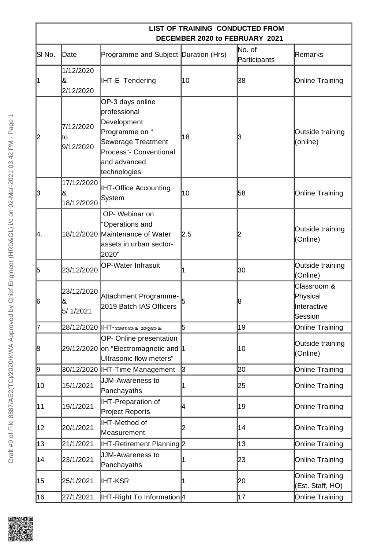|        |                               |                                                                                                                                                   | LIST OF TRAINING CONDUCTED FROM<br>DECEMBER 2020 to FEBRUARY 2021 |                        |                                                   |
|--------|-------------------------------|---------------------------------------------------------------------------------------------------------------------------------------------------|-------------------------------------------------------------------|------------------------|---------------------------------------------------|
| SI No. | Date                          | Programme and Subject Duration (Hrs)                                                                                                              |                                                                   | No. of<br>Participants | Remarks                                           |
| 1      | 1/12/2020<br>8<br>2/12/2020   | <b>IHT-E Tendering</b>                                                                                                                            | 10                                                                | 38                     | <b>Online Training</b>                            |
| 12     | 7/12/2020<br>Ιtο<br>9/12/2020 | OP-3 days online<br>professional<br>Development<br>Programme on "<br>Sewerage Treatment<br>Process"- Conventional<br>and advanced<br>technologies | 18                                                                | IЗ                     | Outside training<br>(online)                      |
| 3      | 17/12/2020<br>&<br>18/12/2020 | <b>IHT-Office Accounting</b><br>System                                                                                                            | 10                                                                | 58                     | Online Training                                   |
| Ι4.    |                               | OP-Webinar on<br>"Operations and<br>18/12/2020 Maintenance of Water<br>assets in urban sector-<br>2020"                                           | 2.5                                                               |                        | Outside training<br>(Online)                      |
| 15     | 23/12/2020                    | <b>OP-Water Infrasuit</b>                                                                                                                         |                                                                   | 30                     | Outside training<br>(Online)                      |
| 16     | 23/12/2020<br>&<br>5/1/2021   | Attachment Programme-<br>2019 Batch IAS Officers                                                                                                  |                                                                   | 18                     | Classroom &<br>Physical<br>Interactive<br>Session |
| 7      |                               | 28/12/2020 IHT-ഭരണഭാഷ മാതൃഭാഷ                                                                                                                     | 5                                                                 | 19                     | <b>Online Training</b>                            |
| 18     |                               | OP- Online presentation<br>29/12/2020 on "Electromagnetic and 1<br>Ultrasonic flow meters"                                                        |                                                                   | 10                     | Outside training<br>(Online)                      |
| 9      |                               | 30/12/2020   IHT-Time Management                                                                                                                  | 3                                                                 | 20                     | <b>Online Training</b>                            |
| 10     | 15/1/2021                     | JJM-Awareness to<br>Panchayaths                                                                                                                   | l                                                                 | 25                     | Online Training                                   |
| 11     | 19/1/2021                     | <b>IHT-Preparation of</b><br>Project Reports                                                                                                      | 4                                                                 | 19                     | Online Training                                   |
| 12     | 20/1/2021                     | <b>IHT-Method of</b><br>Measurement                                                                                                               | 2                                                                 | 14                     | Online Training                                   |
| 13     | 21/1/2021                     | IHT-Retirement Planning 2                                                                                                                         |                                                                   | 13                     | <b>Online Training</b>                            |
| 14     | 23/1/2021                     | JJM-Awareness to<br>Panchayaths                                                                                                                   |                                                                   | 23                     | Online Training                                   |
| 15     | 25/1/2021                     | <b>IHT-KSR</b>                                                                                                                                    | 1                                                                 | 20                     | Online Training<br>(Est. Staff, HO)               |
| 16     | 27/1/2021                     | IHT-Right To Information <sup>[4]</sup>                                                                                                           |                                                                   | 17                     | Online Training                                   |

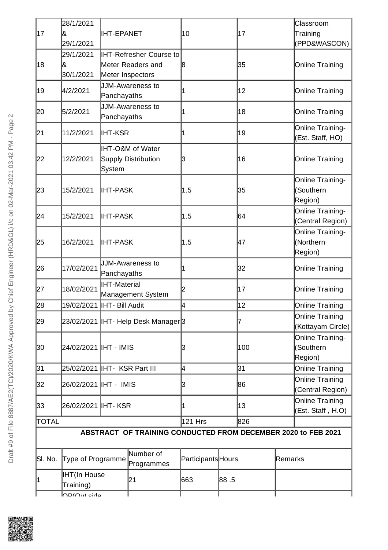| 17                                                            | 28/1/2021<br>l&                   |                                          |                                                     |                    |      |     |                 | Classroom                                |
|---------------------------------------------------------------|-----------------------------------|------------------------------------------|-----------------------------------------------------|--------------------|------|-----|-----------------|------------------------------------------|
|                                                               | 29/1/2021                         | <b>IHT-EPANET</b>                        |                                                     | 10                 |      | 17  |                 | Training<br>(PPD&WASCON)                 |
| 18                                                            | 29/1/2021<br>&<br>30/1/2021       | Meter Inspectors                         | <b>IHT-Refresher Course to</b><br>Meter Readers and | 18                 |      | 35  |                 | Online Training                          |
| 19                                                            | 4/2/2021                          | Panchayaths                              | JJM-Awareness to                                    |                    |      | 12  |                 | Online Training                          |
| 20                                                            | 5/2/2021                          | JJM-Awareness to<br>Panchayaths          |                                                     | 1                  |      | 18  |                 | Online Training                          |
| 21                                                            | 11/2/2021                         | <b>IHT-KSR</b>                           |                                                     | 1                  |      | 19  |                 | Online Training-<br>(Est. Staff, HO)     |
| 22                                                            | 12/2/2021                         | System                                   | <b>IHT-O&amp;M of Water</b><br>Supply Distribution  | 3                  |      | 16  |                 | Online Training                          |
| 23                                                            | 15/2/2021                         | <b>IHT-PASK</b>                          |                                                     | 1.5                |      | 35  |                 | Online Training-<br>(Southern<br>Region) |
| 24                                                            | 15/2/2021                         | <b>IHT-PASK</b>                          |                                                     | 1.5                |      | 64  |                 | Online Training-<br>(Central Region)     |
| 25                                                            | 16/2/2021                         | <b>IHT-PASK</b>                          |                                                     | 1.5                |      | 47  |                 | Online Training-<br>(Northern<br>Region) |
| 26                                                            | 17/02/2021                        | Panchayaths                              | JJM-Awareness to                                    |                    |      | 32  |                 | Online Training                          |
| 27                                                            | 18/02/2021                        | <b>IHT-Material</b><br>Management System |                                                     | 2                  |      | 17  |                 | Online Training                          |
| 28                                                            | 19/02/2021   IHT- Bill Audit      |                                          |                                                     | 12<br>l4           |      |     | Online Training |                                          |
| 29                                                            |                                   |                                          | 23/02/2021  IHT- Help Desk Manager 3                |                    |      | 7   |                 | Online Training<br>(Kottayam Circle)     |
| 30                                                            |                                   |                                          |                                                     | 3                  |      | 100 |                 | Online Training-<br>(Southern<br>Region) |
| 31                                                            | 25/02/2021   IHT- KSR Part III    |                                          |                                                     | 4                  |      | 31  |                 | Online Training                          |
| 32                                                            | 26/02/2021  IHT - IMIS            |                                          |                                                     | 3                  |      | 86  |                 | Online Training<br>(Central Region)      |
| 33                                                            | 26/02/2021 IHT- KSR               |                                          |                                                     | 1                  |      | 13  |                 | Online Training<br>(Est. Staff, H.O)     |
| TOTAL                                                         |                                   |                                          |                                                     | 121 Hrs            |      | 826 |                 |                                          |
| ABSTRACT OF TRAINING CONDUCTED FROM DECEMBER 2020 to FEB 2021 |                                   |                                          |                                                     |                    |      |     |                 |                                          |
| SI. No.                                                       | Type of Programme                 |                                          | Number of<br>Programmes                             | Participants Hours |      |     | Remarks         |                                          |
| 1                                                             | <b>IHT</b> (In House<br>Training) |                                          | 21                                                  | 663                | 88.5 |     |                 |                                          |

I

I



ľ

OP(Out side

J